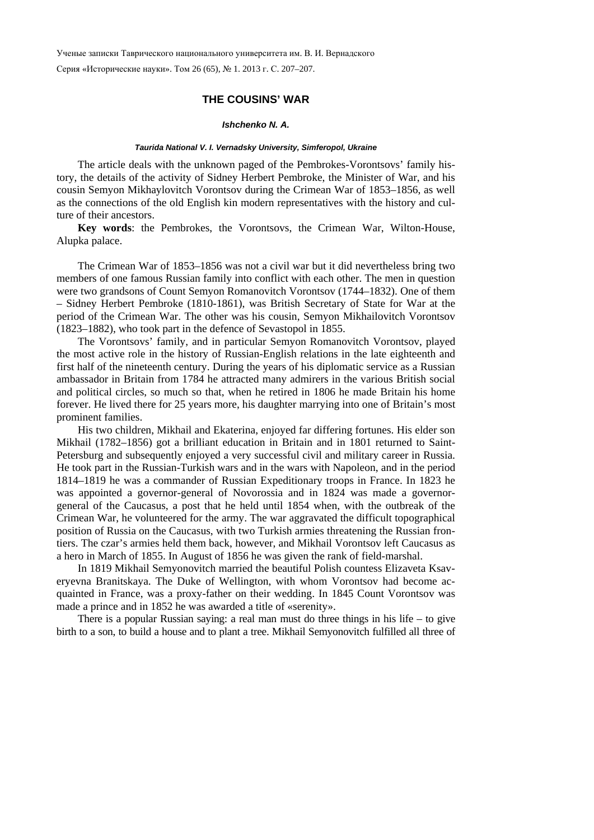Ученые записки Таврического национального университета им. В. И. Вернадского

Серия «Исторические науки». Том 26 (65), № 1. 2013 г. С. 207–207.

# **THE COUSINS' WAR**

#### *Ishchenko N. A.*

## *Taurida National V. I. Vernadsky University, Simferopol, Ukraine*

The article deals with the unknown paged of the Pembrokes-Vorontsovs' family history, the details of the activity of Sidney Herbert Pembroke, the Minister of War, and his cousin Semyon Mikhaylovitch Vorontsov during the Crimean War of 1853–1856, as well as the connections of the old English kin modern representatives with the history and culture of their ancestors.

**Key words**: the Pembrokes, the Vorontsovs, the Crimean War, Wilton-House, Alupka palace.

The Crimean War of 1853–1856 was not a civil war but it did nevertheless bring two members of one famous Russian family into conflict with each other. The men in question were two grandsons of Count Semyon Romanovitch Vorontsov (1744–1832). One of them – Sidney Herbert Pembroke (1810-1861), was British Secretary of State for War at the period of the Crimean War. The other was his cousin, Semyon Mikhailovitch Vorontsov (1823–1882), who took part in the defence of Sevastopol in 1855.

The Vorontsovs' family, and in particular Semyon Romanovitch Vorontsov, played the most active role in the history of Russian-English relations in the late eighteenth and first half of the nineteenth century. During the years of his diplomatic service as a Russian ambassador in Britain from 1784 he attracted many admirers in the various British social and political circles, so much so that, when he retired in 1806 he made Britain his home forever. He lived there for 25 years more, his daughter marrying into one of Britain's most prominent families.

His two children, Mikhail and Ekaterina, enjoyed far differing fortunes. His elder son Mikhail (1782–1856) got a brilliant education in Britain and in 1801 returned to Saint-Petersburg and subsequently enjoyed a very successful civil and military career in Russia. He took part in the Russian-Turkish wars and in the wars with Napoleon, and in the period 1814–1819 he was a commander of Russian Expeditionary troops in France. In 1823 he was appointed a governor-general of Novorossia and in 1824 was made a governorgeneral of the Caucasus, a post that he held until 1854 when, with the outbreak of the Crimean War, he volunteered for the army. The war aggravated the difficult topographical position of Russia on the Caucasus, with two Turkish armies threatening the Russian frontiers. The czar's armies held them back, however, and Mikhail Vorontsov left Caucasus as a hero in March of 1855. In August of 1856 he was given the rank of field-marshal.

In 1819 Mikhail Semyonovitch married the beautiful Polish countess Elizaveta Ksaveryevna Branitskaya. The Duke of Wellington, with whom Vorontsov had become acquainted in France, was a proxy-father on their wedding. In 1845 Count Vorontsov was made a prince and in 1852 he was awarded a title of «serenity».

There is a popular Russian saying: a real man must do three things in his life – to give birth to a son, to build a house and to plant a tree. Mikhail Semyonovitch fulfilled all three of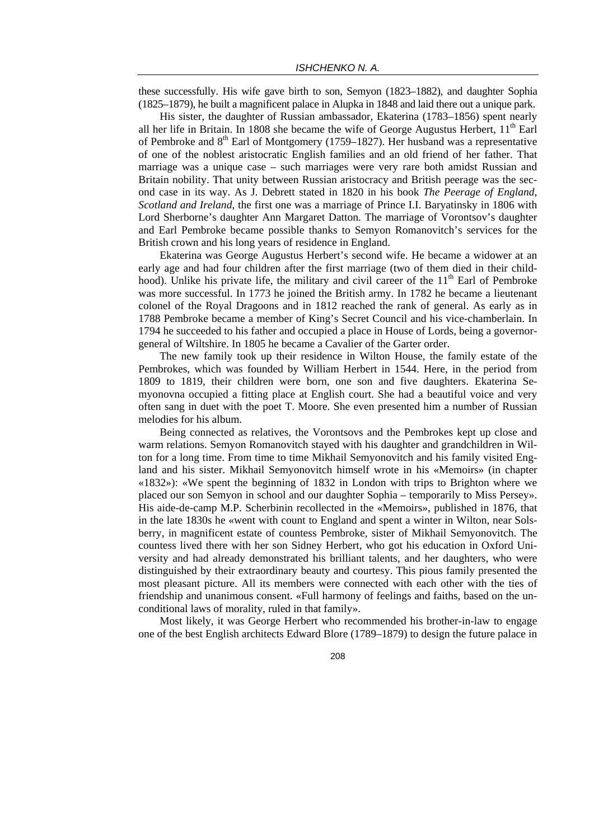these successfully. His wife gave birth to son, Semyon (1823–1882), and daughter Sophia (1825–1879), he built a magnificent palace in Alupka in 1848 and laid there out a unique park.

His sister, the daughter of Russian ambassador, Ekaterina (1783–1856) spent nearly all her life in Britain. In 1808 she became the wife of George Augustus Herbert,  $11<sup>th</sup>$  Earl of Pembroke and  $8<sup>th</sup>$  Earl of Montgomery (1759–1827). Her husband was a representative of one of the noblest aristocratic English families and an old friend of her father. That marriage was a unique case – such marriages were very rare both amidst Russian and Britain nobility. That unity between Russian aristocracy and British peerage was the second case in its way. As J. Debrett stated in 1820 in his book *The Peerage of England, Scotland and Ireland*, the first one was a marriage of Prince I.I. Baryatinsky in 1806 with Lord Sherborne's daughter Ann Margaret Datton. The marriage of Vorontsov's daughter and Earl Pembroke became possible thanks to Semyon Romanovitch's services for the British crown and his long years of residence in England.

Ekaterina was George Augustus Herbert's second wife. He became a widower at an early age and had four children after the first marriage (two of them died in their childhood). Unlike his private life, the military and civil career of the  $11<sup>th</sup>$  Earl of Pembroke was more successful. In 1773 he joined the British army. In 1782 he became a lieutenant colonel of the Royal Dragoons and in 1812 reached the rank of general. As early as in 1788 Pembroke became a member of King's Secret Council and his vice-chamberlain. In 1794 he succeeded to his father and occupied a place in House of Lords, being a governorgeneral of Wiltshire. In 1805 he became a Cavalier of the Garter order.

The new family took up their residence in Wilton House, the family estate of the Pembrokes, which was founded by William Herbert in 1544. Here, in the period from 1809 to 1819, their children were born, one son and five daughters. Ekaterina Semyonovna occupied a fitting place at English court. She had a beautiful voice and very often sang in duet with the poet T. Moore. She even presented him a number of Russian melodies for his album.

Being connected as relatives, the Vorontsovs and the Pembrokes kept up close and warm relations. Semyon Romanovitch stayed with his daughter and grandchildren in Wilton for a long time. From time to time Mikhail Semyonovitch and his family visited England and his sister. Mikhail Semyonovitch himself wrote in his «Memoirs» (in chapter «1832»): «We spent the beginning of 1832 in London with trips to Brighton where we placed our son Semyon in school and our daughter Sophia – temporarily to Miss Persey». His aide-de-camp M.P. Scherbinin recollected in the «Memoirs», published in 1876, that in the late 1830s he «went with count to England and spent a winter in Wilton, near Solsberry, in magnificent estate of countess Pembroke, sister of Mikhail Semyonovitch. The countess lived there with her son Sidney Herbert, who got his education in Oxford University and had already demonstrated his brilliant talents, and her daughters, who were distinguished by their extraordinary beauty and courtesy. This pious family presented the most pleasant picture. All its members were connected with each other with the ties of friendship and unanimous consent. «Full harmony of feelings and faiths, based on the unconditional laws of morality, ruled in that family».

Most likely, it was George Herbert who recommended his brother-in-law to engage one of the best English architects Edward Blore (1789–1879) to design the future palace in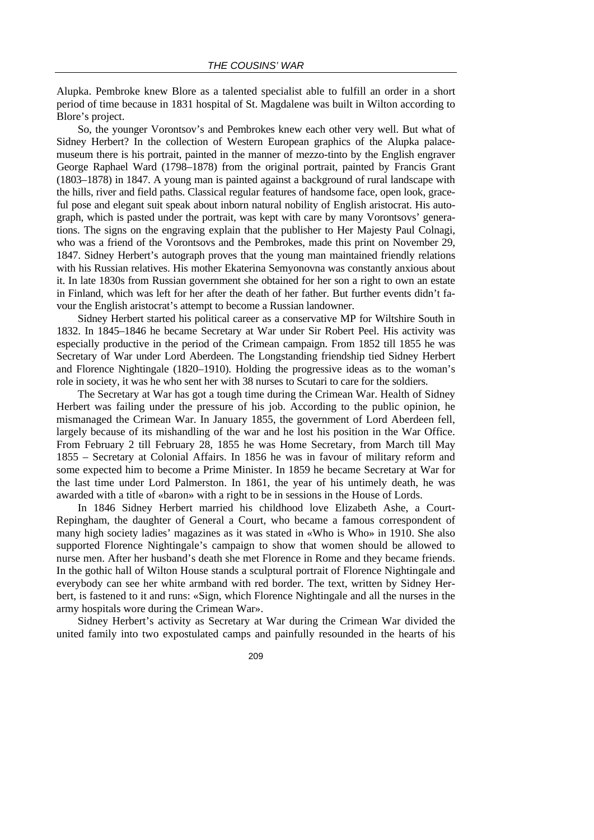Alupka. Pembroke knew Blore as a talented specialist able to fulfill an order in a short period of time because in 1831 hospital of St. Magdalene was built in Wilton according to Blore's project.

So, the younger Vorontsov's and Pembrokes knew each other very well. But what of Sidney Herbert? In the collection of Western European graphics of the Alupka palacemuseum there is his portrait, painted in the manner of mezzo-tinto by the English engraver George Raphael Ward (1798–1878) from the original portrait, painted by Francis Grant (1803–1878) in 1847. A young man is painted against a background of rural landscape with the hills, river and field paths. Classical regular features of handsome face, open look, graceful pose and elegant suit speak about inborn natural nobility of English aristocrat. His autograph, which is pasted under the portrait, was kept with care by many Vorontsovs' generations. The signs on the engraving explain that the publisher to Her Majesty Paul Colnagi, who was a friend of the Vorontsovs and the Pembrokes, made this print on November 29, 1847. Sidney Herbert's autograph proves that the young man maintained friendly relations with his Russian relatives. His mother Ekaterina Semyonovna was constantly anxious about it. In late 1830s from Russian government she obtained for her son a right to own an estate in Finland, which was left for her after the death of her father. But further events didn't favour the English aristocrat's attempt to become a Russian landowner.

Sidney Herbert started his political career as a conservative MP for Wiltshire South in 1832. In 1845–1846 he became Secretary at War under Sir Robert Peel. His activity was especially productive in the period of the Crimean campaign. From 1852 till 1855 he was Secretary of War under Lord Aberdeen. The Longstanding friendship tied Sidney Herbert and Florence Nightingale (1820–1910). Holding the progressive ideas as to the woman's role in society, it was he who sent her with 38 nurses to Scutari to care for the soldiers.

The Secretary at War has got a tough time during the Crimean War. Health of Sidney Herbert was failing under the pressure of his job. According to the public opinion, he mismanaged the Crimean War. In January 1855, the government of Lord Aberdeen fell, largely because of its mishandling of the war and he lost his position in the War Office. From February 2 till February 28, 1855 he was Home Secretary, from March till May 1855 – Secretary at Colonial Affairs. In 1856 he was in favour of military reform and some expected him to become a Prime Minister. In 1859 he became Secretary at War for the last time under Lord Palmerston. In 1861, the year of his untimely death, he was awarded with a title of «baron» with a right to be in sessions in the House of Lords.

In 1846 Sidney Herbert married his childhood love Elizabeth Ashe, a Court-Repingham, the daughter of General a Court, who became a famous correspondent of many high society ladies' magazines as it was stated in «Who is Who» in 1910. She also supported Florence Nightingale's campaign to show that women should be allowed to nurse men. After her husband's death she met Florence in Rome and they became friends. In the gothic hall of Wilton House stands a sculptural portrait of Florence Nightingale and everybody can see her white armband with red border. The text, written by Sidney Herbert, is fastened to it and runs: «Sign, which Florence Nightingale and all the nurses in the army hospitals wore during the Crimean War».

Sidney Herbert's activity as Secretary at War during the Crimean War divided the united family into two expostulated camps and painfully resounded in the hearts of his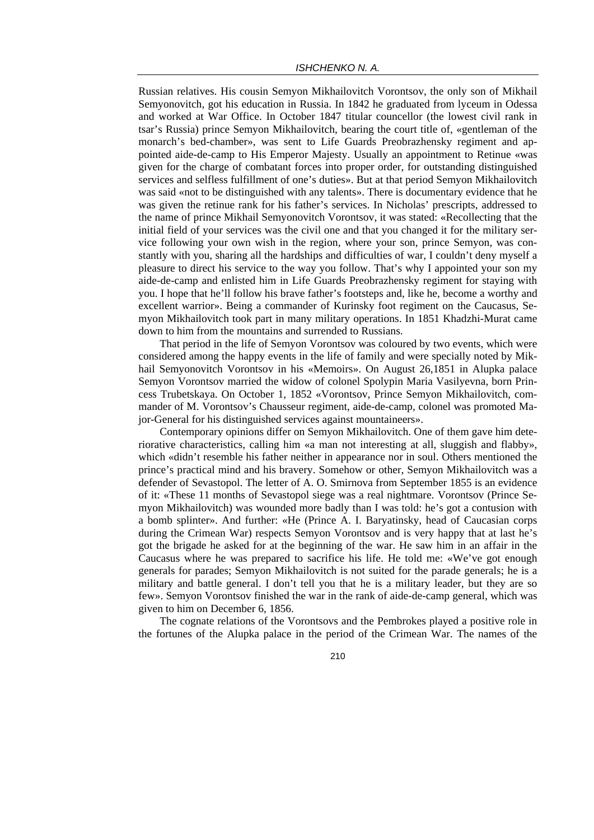Russian relatives. His cousin Semyon Mikhailovitch Vorontsov, the only son of Mikhail Semyonovitch, got his education in Russia. In 1842 he graduated from lyceum in Odessa and worked at War Office. In October 1847 titular councellor (the lowest civil rank in tsar's Russia) prince Semyon Mikhailovitch, bearing the court title of, «gentleman of the monarch's bed-chamber», was sent to Life Guards Preobrazhensky regiment and appointed aide-de-camp to His Emperor Majesty. Usually an appointment to Retinue «was given for the charge of combatant forces into proper order, for outstanding distinguished services and selfless fulfillment of one's duties». But at that period Semyon Mikhailovitch was said «not to be distinguished with any talents». There is documentary evidence that he was given the retinue rank for his father's services. In Nicholas' prescripts, addressed to the name of prince Mikhail Semyonovitch Vorontsov, it was stated: «Recollecting that the initial field of your services was the civil one and that you changed it for the military service following your own wish in the region, where your son, prince Semyon, was constantly with you, sharing all the hardships and difficulties of war, I couldn't deny myself a pleasure to direct his service to the way you follow. That's why I appointed your son my aide-de-camp and enlisted him in Life Guards Preobrazhensky regiment for staying with you. I hope that he'll follow his brave father's footsteps and, like he, become a worthy and excellent warrior». Being a commander of Kurinsky foot regiment on the Caucasus, Semyon Mikhailovitch took part in many military operations. In 1851 Khadzhi-Murat came down to him from the mountains and surrended to Russians.

That period in the life of Semyon Vorontsov was coloured by two events, which were considered among the happy events in the life of family and were specially noted by Mikhail Semyonovitch Vorontsov in his «Memoirs». On August 26,1851 in Alupka palace Semyon Vorontsov married the widow of colonel Spolypin Maria Vasilyevna, born Princess Trubetskaya. On October 1, 1852 «Vorontsov, Prince Semyon Mikhailovitch, commander of M. Vorontsov's Chausseur regiment, aide-de-camp, colonel was promoted Major-General for his distinguished services against mountaineers».

Contemporary opinions differ on Semyon Mikhailovitch. One of them gave him deteriorative characteristics, calling him «a man not interesting at all, sluggish and flabby», which «didn't resemble his father neither in appearance nor in soul. Others mentioned the prince's practical mind and his bravery. Somehow or other, Semyon Mikhailovitch was a defender of Sevastopol. The letter of A. O. Smirnova from September 1855 is an evidence of it: «These 11 months of Sevastopol siege was a real nightmare. Vorontsov (Prince Semyon Mikhailovitch) was wounded more badly than I was told: he's got a contusion with a bomb splinter». And further: «He (Prince A. I. Baryatinsky, head of Caucasian corps during the Crimean War) respects Semyon Vorontsov and is very happy that at last he's got the brigade he asked for at the beginning of the war. He saw him in an affair in the Caucasus where he was prepared to sacrifice his life. He told me: «We've got enough generals for parades; Semyon Mikhailovitch is not suited for the parade generals; he is a military and battle general. I don't tell you that he is a military leader, but they are so few». Semyon Vorontsov finished the war in the rank of aide-de-camp general, which was given to him on December 6, 1856.

The cognate relations of the Vorontsovs and the Pembrokes played a positive role in the fortunes of the Alupka palace in the period of the Crimean War. The names of the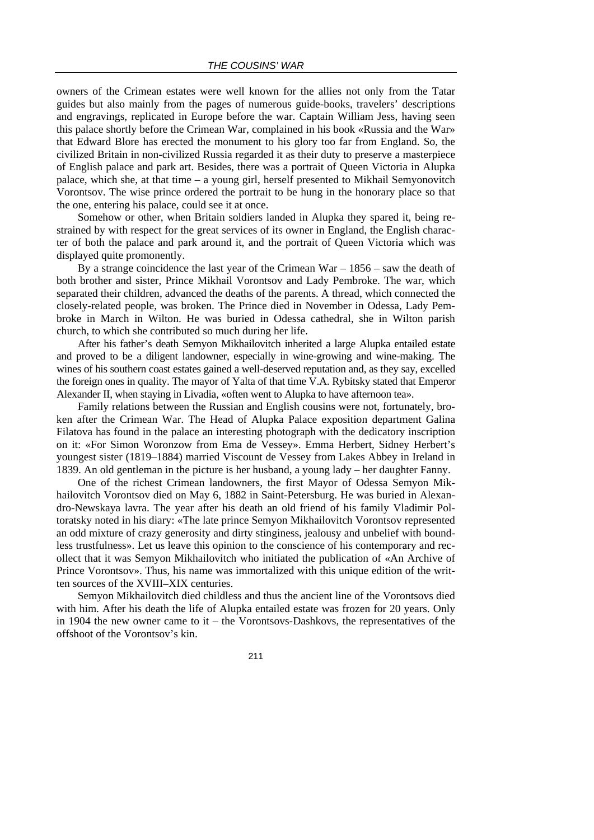owners of the Crimean estates were well known for the allies not only from the Tatar guides but also mainly from the pages of numerous guide-books, travelers' descriptions and engravings, replicated in Europe before the war. Captain William Jess, having seen this palace shortly before the Crimean War, complained in his book «Russia and the War» that Edward Blore has erected the monument to his glory too far from England. So, the civilized Britain in non-civilized Russia regarded it as their duty to preserve a masterpiece of English palace and park art. Besides, there was a portrait of Queen Victoria in Alupka palace, which she, at that time – a young girl, herself presented to Mikhail Semyonovitch Vorontsov. The wise prince ordered the portrait to be hung in the honorary place so that the one, entering his palace, could see it at once.

Somehow or other, when Britain soldiers landed in Alupka they spared it, being restrained by with respect for the great services of its owner in England, the English character of both the palace and park around it, and the portrait of Queen Victoria which was displayed quite promonently.

By a strange coincidence the last year of the Crimean War – 1856 – saw the death of both brother and sister, Prince Mikhail Vorontsov and Lady Pembroke. The war, which separated their children, advanced the deaths of the parents. A thread, which connected the closely-related people, was broken. The Prince died in November in Odessa, Lady Pembroke in March in Wilton. He was buried in Odessa cathedral, she in Wilton parish church, to which she contributed so much during her life.

After his father's death Semyon Mikhailovitch inherited a large Alupka entailed estate and proved to be a diligent landowner, especially in wine-growing and wine-making. The wines of his southern coast estates gained a well-deserved reputation and, as they say, excelled the foreign ones in quality. The mayor of Yalta of that time V.A. Rybitsky stated that Emperor Alexander II, when staying in Livadia, «often went to Alupka to have afternoon tea».

Family relations between the Russian and English cousins were not, fortunately, broken after the Crimean War. The Head of Alupka Palace exposition department Galina Filatova has found in the palace an interesting photograph with the dedicatory inscription on it: «For Simon Woronzow from Ema de Vessey». Emma Herbert, Sidney Herbert's youngest sister (1819–1884) married Viscount de Vessey from Lakes Abbey in Ireland in 1839. An old gentleman in the picture is her husband, a young lady – her daughter Fanny.

One of the richest Crimean landowners, the first Mayor of Odessa Semyon Mikhailovitch Vorontsov died on May 6, 1882 in Saint-Petersburg. He was buried in Alexandro-Newskaya lavra. The year after his death an old friend of his family Vladimir Poltoratsky noted in his diary: «The late prince Semyon Mikhailovitch Vorontsov represented an odd mixture of crazy generosity and dirty stinginess, jealousy and unbelief with boundless trustfulness». Let us leave this opinion to the conscience of his contemporary and recollect that it was Semyon Mikhailovitch who initiated the publication of «An Archive of Prince Vorontsov». Thus, his name was immortalized with this unique edition of the written sources of the XVIII–XIX centuries.

Semyon Mikhailovitch died childless and thus the ancient line of the Vorontsovs died with him. After his death the life of Alupka entailed estate was frozen for 20 years. Only in 1904 the new owner came to it – the Vorontsovs-Dashkovs, the representatives of the offshoot of the Vorontsov's kin.